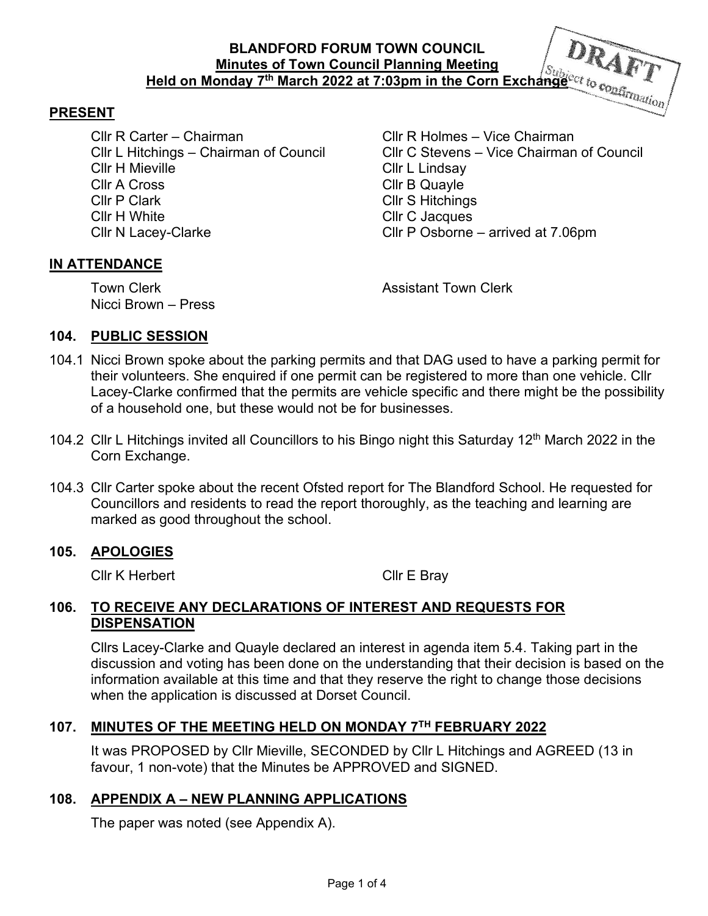## **BLANDFORD FORUM TOWN COUNCIL Minutes of Town Council Planning Meeting Held on Monday 7th March 2022 at 7:03pm in the Corn Exchange**

#### **PRESENT**

Cllr R Carter – Chairman Cllr R Holmes – Vice Chairman Cllr H Mieville Cllr L Lindsay Cllr A Cross Cllr B Quayle Cllr P Clark Cllr S Hitchings Cllr H White Clacques<br>
Cllr N Lacev-Clarke Clacques<br>
Cllr P Osborne

Cllr L Hitchings – Chairman of Council Cllr C Stevens – Vice Chairman of Council Cllr P Osborne – arrived at  $7.06$ pm

#### **IN ATTENDANCE**

Nicci Brown – Press

Town Clerk **Assistant Town Clerk Assistant Town Clerk** 

#### **104. PUBLIC SESSION**

- 104.1 Nicci Brown spoke about the parking permits and that DAG used to have a parking permit for their volunteers. She enquired if one permit can be registered to more than one vehicle. Cllr Lacey-Clarke confirmed that the permits are vehicle specific and there might be the possibility of a household one, but these would not be for businesses.
- 104.2 Cllr L Hitchings invited all Councillors to his Bingo night this Saturday 12<sup>th</sup> March 2022 in the Corn Exchange.
- 104.3 Cllr Carter spoke about the recent Ofsted report for The Blandford School. He requested for Councillors and residents to read the report thoroughly, as the teaching and learning are marked as good throughout the school.

#### **105. APOLOGIES**

Cllr K Herbert Cllr E Bray

#### **106. TO RECEIVE ANY DECLARATIONS OF INTEREST AND REQUESTS FOR DISPENSATION**

Cllrs Lacey-Clarke and Quayle declared an interest in agenda item 5.4. Taking part in the discussion and voting has been done on the understanding that their decision is based on the information available at this time and that they reserve the right to change those decisions when the application is discussed at Dorset Council.

#### **107. MINUTES OF THE MEETING HELD ON MONDAY 7TH FEBRUARY 2022**

It was PROPOSED by Cllr Mieville, SECONDED by Cllr L Hitchings and AGREED (13 in favour, 1 non-vote) that the Minutes be APPROVED and SIGNED.

#### **108. APPENDIX A – NEW PLANNING APPLICATIONS**

The paper was noted (see Appendix A).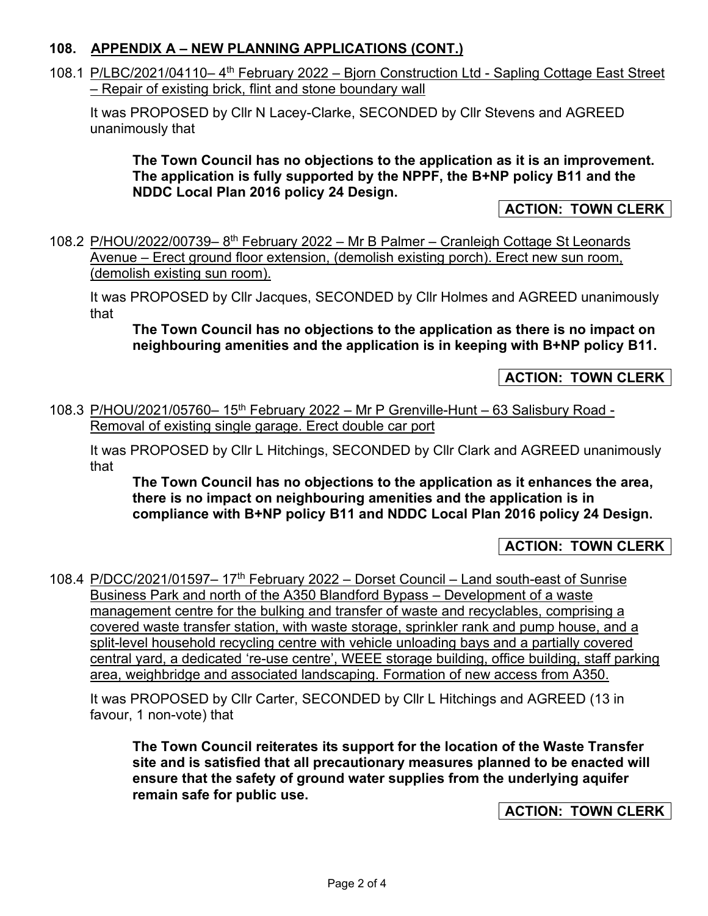### **108. APPENDIX A – NEW PLANNING APPLICATIONS (CONT.)**

108.1 P/LBC/2021/04110-4<sup>th</sup> February 2022 - Bjorn Construction Ltd - Sapling Cottage East Street – Repair of existing brick, flint and stone boundary wall

It was PROPOSED by Cllr N Lacey-Clarke, SECONDED by Cllr Stevens and AGREED unanimously that

**The Town Council has no objections to the application as it is an improvement. The application is fully supported by the NPPF, the B+NP policy B11 and the NDDC Local Plan 2016 policy 24 Design.** 

**ACTION: TOWN CLERK** 

108.2 P/HOU/2022/00739-8<sup>th</sup> February 2022 - Mr B Palmer - Cranleigh Cottage St Leonards Avenue – Erect ground floor extension, (demolish existing porch). Erect new sun room, (demolish existing sun room).

It was PROPOSED by Cllr Jacques, SECONDED by Cllr Holmes and AGREED unanimously that

**The Town Council has no objections to the application as there is no impact on neighbouring amenities and the application is in keeping with B+NP policy B11.** 

**ACTION: TOWN CLERK** 

108.3 P/HOU/2021/05760– 15th February 2022 – Mr P Grenville-Hunt – 63 Salisbury Road - Removal of existing single garage. Erect double car port

It was PROPOSED by Cllr L Hitchings, SECONDED by Cllr Clark and AGREED unanimously that

**The Town Council has no objections to the application as it enhances the area, there is no impact on neighbouring amenities and the application is in compliance with B+NP policy B11 and NDDC Local Plan 2016 policy 24 Design.** 

## **ACTION: TOWN CLERK**

108.4 P/DCC/2021/01597-17<sup>th</sup> February 2022 - Dorset Council - Land south-east of Sunrise Business Park and north of the A350 Blandford Bypass – Development of a waste management centre for the bulking and transfer of waste and recyclables, comprising a covered waste transfer station, with waste storage, sprinkler rank and pump house, and a split-level household recycling centre with vehicle unloading bays and a partially covered central yard, a dedicated 're-use centre', WEEE storage building, office building, staff parking area, weighbridge and associated landscaping. Formation of new access from A350.

It was PROPOSED by Cllr Carter, SECONDED by Cllr L Hitchings and AGREED (13 in favour, 1 non-vote) that

**The Town Council reiterates its support for the location of the Waste Transfer site and is satisfied that all precautionary measures planned to be enacted will ensure that the safety of ground water supplies from the underlying aquifer remain safe for public use.** 

**ACTION: TOWN CLERK**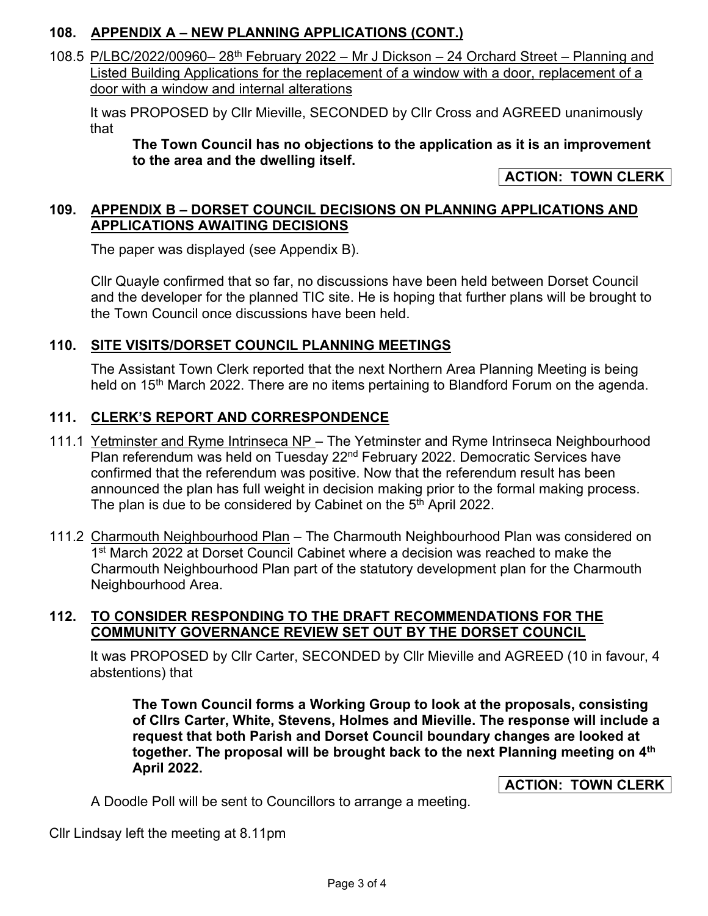# **108. APPENDIX A – NEW PLANNING APPLICATIONS (CONT.)**

108.5 P/LBC/2022/00960– 28th February 2022 – Mr J Dickson – 24 Orchard Street – Planning and Listed Building Applications for the replacement of a window with a door, replacement of a door with a window and internal alterations

It was PROPOSED by Cllr Mieville, SECONDED by Cllr Cross and AGREED unanimously that

**The Town Council has no objections to the application as it is an improvement to the area and the dwelling itself.** 

**ACTION: TOWN CLERK** 

## **109. APPENDIX B – DORSET COUNCIL DECISIONS ON PLANNING APPLICATIONS AND APPLICATIONS AWAITING DECISIONS**

The paper was displayed (see Appendix B).

Cllr Quayle confirmed that so far, no discussions have been held between Dorset Council and the developer for the planned TIC site. He is hoping that further plans will be brought to the Town Council once discussions have been held.

## **110. SITE VISITS/DORSET COUNCIL PLANNING MEETINGS**

The Assistant Town Clerk reported that the next Northern Area Planning Meeting is being held on 15<sup>th</sup> March 2022. There are no items pertaining to Blandford Forum on the agenda.

## **111. CLERK'S REPORT AND CORRESPONDENCE**

- 111.1 Yetminster and Ryme Intrinseca NP The Yetminster and Ryme Intrinseca Neighbourhood Plan referendum was held on Tuesday 22<sup>nd</sup> February 2022. Democratic Services have confirmed that the referendum was positive. Now that the referendum result has been announced the plan has full weight in decision making prior to the formal making process. The plan is due to be considered by Cabinet on the 5<sup>th</sup> April 2022.
- 111.2 Charmouth Neighbourhood Plan The Charmouth Neighbourhood Plan was considered on 1<sup>st</sup> March 2022 at Dorset Council Cabinet where a decision was reached to make the Charmouth Neighbourhood Plan part of the statutory development plan for the Charmouth Neighbourhood Area.

## **112. TO CONSIDER RESPONDING TO THE DRAFT RECOMMENDATIONS FOR THE COMMUNITY GOVERNANCE REVIEW SET OUT BY THE DORSET COUNCIL**

It was PROPOSED by Cllr Carter, SECONDED by Cllr Mieville and AGREED (10 in favour, 4 abstentions) that

**The Town Council forms a Working Group to look at the proposals, consisting of Cllrs Carter, White, Stevens, Holmes and Mieville. The response will include a request that both Parish and Dorset Council boundary changes are looked at together. The proposal will be brought back to the next Planning meeting on 4th April 2022.** 

**ACTION: TOWN CLERK** 

A Doodle Poll will be sent to Councillors to arrange a meeting.

Cllr Lindsay left the meeting at 8.11pm